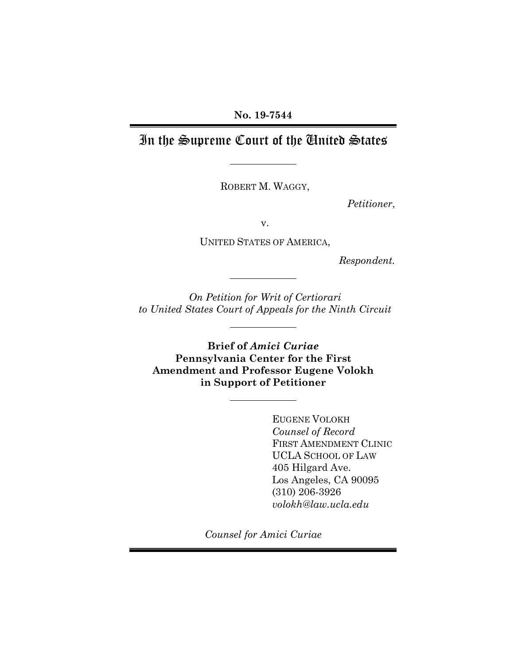# In the Supreme Court of the United States

ROBERT M. WAGGY,

*Petitioner*,

v.

UNITED STATES OF AMERICA,

*Respondent.*

*On Petition for Writ of Certiorari to United States Court of Appeals for the Ninth Circuit*

**Brief of** *Amici Curiae*  **Pennsylvania Center for the First Amendment and Professor Eugene Volokh in Support of Petitioner**

> EUGENE VOLOKH *Counsel of Record* FIRST AMENDMENT CLINIC UCLA SCHOOL OF LAW 405 Hilgard Ave. Los Angeles, CA 90095 (310) 206-3926 *volokh@law.ucla.edu*

*Counsel for Amici Curiae*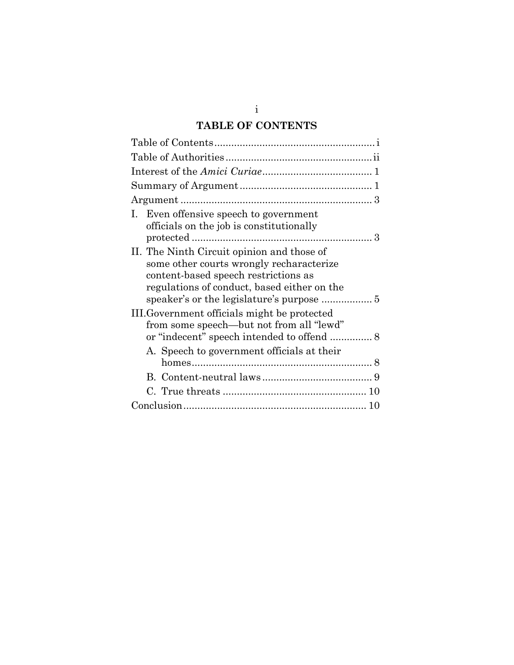# **TABLE OF CONTENTS**

| I. Even offensive speech to government<br>officials on the job is constitutionally                                                                                            |
|-------------------------------------------------------------------------------------------------------------------------------------------------------------------------------|
| II. The Ninth Circuit opinion and those of<br>some other courts wrongly recharacterize<br>content-based speech restrictions as<br>regulations of conduct, based either on the |
| III. Government officials might be protected                                                                                                                                  |
| from some speech—but not from all "lewd"                                                                                                                                      |
| A. Speech to government officials at their                                                                                                                                    |
|                                                                                                                                                                               |
|                                                                                                                                                                               |
|                                                                                                                                                                               |

i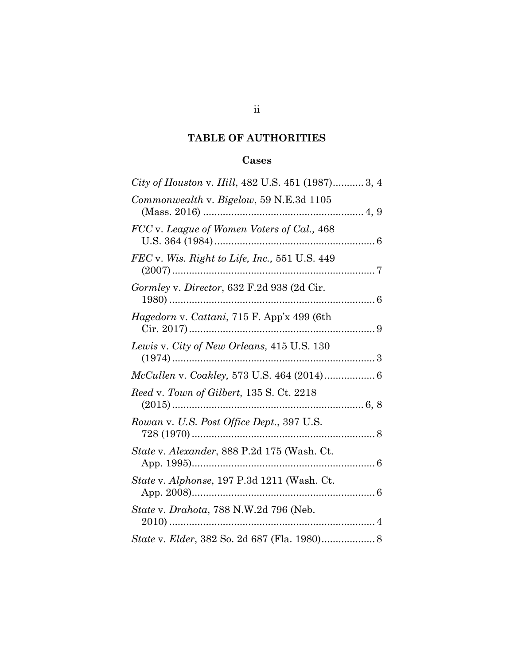## **TABLE OF AUTHORITIES**

## **Cases**

| City of Houston v. Hill, 482 U.S. 451 (1987) 3, 4 |
|---------------------------------------------------|
| Commonwealth v. Bigelow, 59 N.E.3d 1105           |
| FCC v. League of Women Voters of Cal., 468        |
| FEC v. Wis. Right to Life, Inc., 551 U.S. 449     |
| Gormley v. Director, 632 F.2d 938 (2d Cir.        |
| Hagedorn v. Cattani, 715 F. App'x 499 (6th        |
| Lewis v. City of New Orleans, 415 U.S. 130        |
| McCullen v. Coakley, 573 U.S. 464 (2014) 6        |
| Reed v. Town of Gilbert, 135 S. Ct. 2218          |
| Rowan v. U.S. Post Office Dept., 397 U.S.         |
| State v. Alexander, 888 P.2d 175 (Wash. Ct.       |
| State v. Alphonse, 197 P.3d 1211 (Wash. Ct.       |
| State v. Drahota, 788 N.W.2d 796 (Neb.            |
| State v. Elder, 382 So. 2d 687 (Fla. 1980) 8      |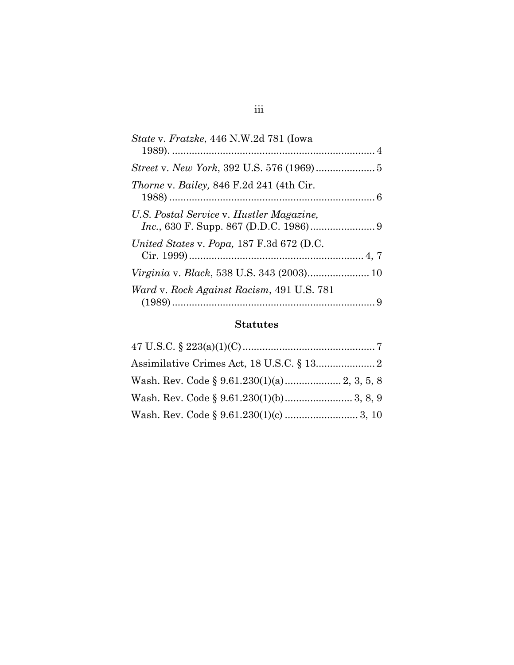| <i>State v. Fratzke, 446 N.W.2d 781 (Iowa</i>   |
|-------------------------------------------------|
|                                                 |
| <i>Thorne v. Bailey, 846 F.2d 241 (4th Cir.</i> |
| U.S. Postal Service v. Hustler Magazine,        |
| United States v. Popa, 187 F.3d 672 (D.C.       |
|                                                 |
| Ward v. Rock Against Racism, 491 U.S. 781       |

## **Statutes**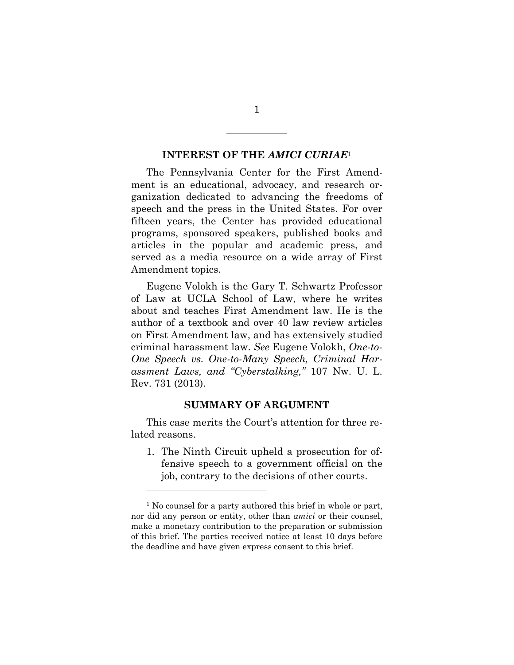#### **INTEREST OF THE** *AMICI CURIAE*<sup>1</sup>

The Pennsylvania Center for the First Amendment is an educational, advocacy, and research organization dedicated to advancing the freedoms of speech and the press in the United States. For over fifteen years, the Center has provided educational programs, sponsored speakers, published books and articles in the popular and academic press, and served as a media resource on a wide array of First Amendment topics.

Eugene Volokh is the Gary T. Schwartz Professor of Law at UCLA School of Law, where he writes about and teaches First Amendment law. He is the author of a textbook and over 40 law review articles on First Amendment law, and has extensively studied criminal harassment law. *See* Eugene Volokh, *One-to-One Speech vs. One-to-Many Speech, Criminal Harassment Laws, and "Cyberstalking,"* 107 Nw. U. L. Rev. 731 (2013).

#### **SUMMARY OF ARGUMENT**

This case merits the Court's attention for three related reasons.

1. The Ninth Circuit upheld a prosecution for offensive speech to a government official on the job, contrary to the decisions of other courts.

1

<sup>&</sup>lt;sup>1</sup> No counsel for a party authored this brief in whole or part, nor did any person or entity, other than *amici* or their counsel, make a monetary contribution to the preparation or submission of this brief. The parties received notice at least 10 days before the deadline and have given express consent to this brief.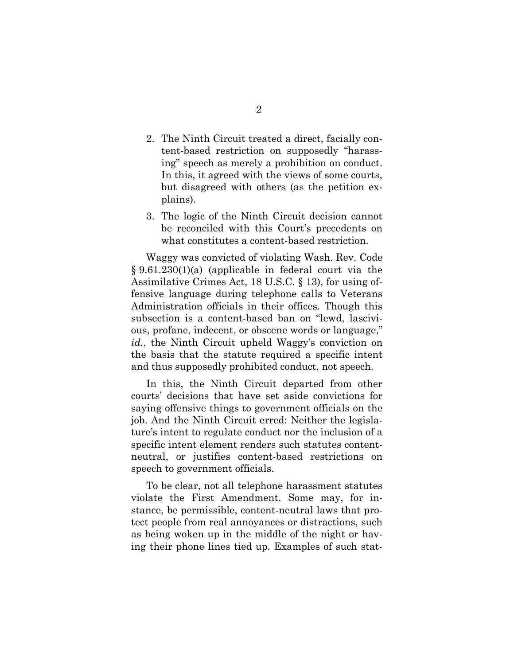- 2. The Ninth Circuit treated a direct, facially content-based restriction on supposedly "harassing" speech as merely a prohibition on conduct. In this, it agreed with the views of some courts, but disagreed with others (as the petition explains).
- 3. The logic of the Ninth Circuit decision cannot be reconciled with this Court's precedents on what constitutes a content-based restriction.

Waggy was convicted of violating Wash. Rev. Code § 9.61.230(1)(a) (applicable in federal court via the Assimilative Crimes Act, 18 U.S.C. § 13), for using offensive language during telephone calls to Veterans Administration officials in their offices. Though this subsection is a content-based ban on "lewd, lascivious, profane, indecent, or obscene words or language," *id.*, the Ninth Circuit upheld Waggy's conviction on the basis that the statute required a specific intent and thus supposedly prohibited conduct, not speech.

In this, the Ninth Circuit departed from other courts' decisions that have set aside convictions for saying offensive things to government officials on the job. And the Ninth Circuit erred: Neither the legislature's intent to regulate conduct nor the inclusion of a specific intent element renders such statutes contentneutral, or justifies content-based restrictions on speech to government officials.

To be clear, not all telephone harassment statutes violate the First Amendment. Some may, for instance, be permissible, content-neutral laws that protect people from real annoyances or distractions, such as being woken up in the middle of the night or having their phone lines tied up. Examples of such stat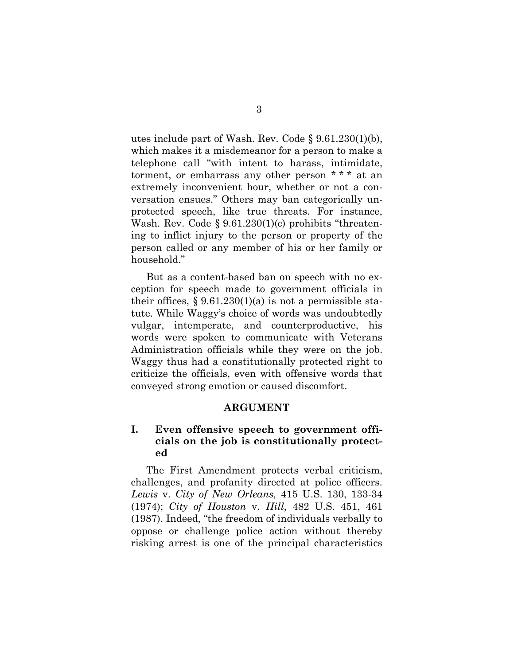utes include part of Wash. Rev. Code § 9.61.230(1)(b), which makes it a misdemeanor for a person to make a telephone call "with intent to harass, intimidate, torment, or embarrass any other person \* \* \* at an extremely inconvenient hour, whether or not a conversation ensues." Others may ban categorically unprotected speech, like true threats. For instance, Wash. Rev. Code § 9.61.230(1)(c) prohibits "threatening to inflict injury to the person or property of the person called or any member of his or her family or household."

But as a content-based ban on speech with no exception for speech made to government officials in their offices,  $\S 9.61.230(1)(a)$  is not a permissible statute. While Waggy's choice of words was undoubtedly vulgar, intemperate, and counterproductive, his words were spoken to communicate with Veterans Administration officials while they were on the job. Waggy thus had a constitutionally protected right to criticize the officials, even with offensive words that conveyed strong emotion or caused discomfort.

#### **ARGUMENT**

## **I. Even offensive speech to government officials on the job is constitutionally protected**

The First Amendment protects verbal criticism, challenges, and profanity directed at police officers. *Lewis* v. *City of New Orleans,* 415 U.S. 130, 133-34 (1974); *City of Houston* v. *Hill*, 482 U.S. 451, 461 (1987). Indeed, "the freedom of individuals verbally to oppose or challenge police action without thereby risking arrest is one of the principal characteristics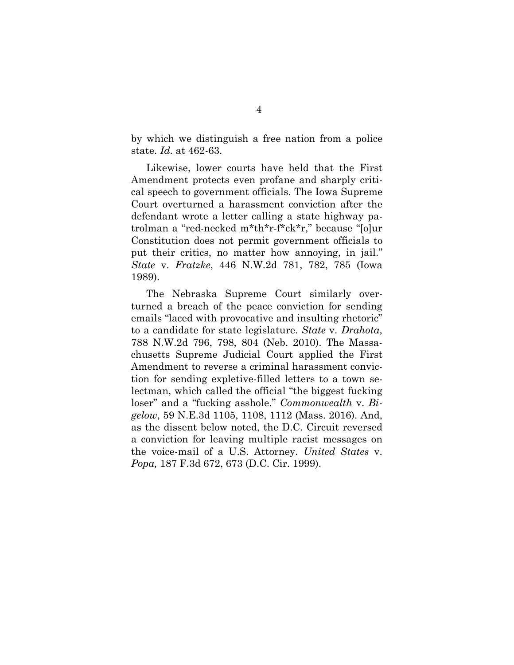by which we distinguish a free nation from a police state. *Id.* at 462-63.

Likewise, lower courts have held that the First Amendment protects even profane and sharply critical speech to government officials. The Iowa Supreme Court overturned a harassment conviction after the defendant wrote a letter calling a state highway patrolman a "red-necked m\*th\*r-f\*ck\*r," because "[o]ur Constitution does not permit government officials to put their critics, no matter how annoying, in jail." *State* v. *Fratzke*, 446 N.W.2d 781, 782, 785 (Iowa 1989).

The Nebraska Supreme Court similarly overturned a breach of the peace conviction for sending emails "laced with provocative and insulting rhetoric" to a candidate for state legislature. *State* v. *Drahota*, 788 N.W.2d 796, 798, 804 (Neb. 2010). The Massachusetts Supreme Judicial Court applied the First Amendment to reverse a criminal harassment conviction for sending expletive-filled letters to a town selectman, which called the official "the biggest fucking loser" and a "fucking asshole." *Commonwealth* v. *Bigelow*, 59 N.E.3d 1105, 1108, 1112 (Mass. 2016). And, as the dissent below noted, the D.C. Circuit reversed a conviction for leaving multiple racist messages on the voice-mail of a U.S. Attorney. *United States* v. *Popa,* 187 F.3d 672, 673 (D.C. Cir. 1999).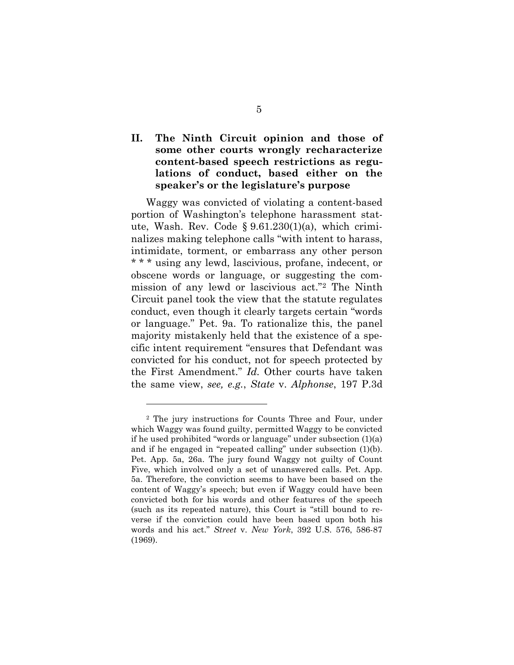## **II. The Ninth Circuit opinion and those of some other courts wrongly recharacterize content-based speech restrictions as regulations of conduct, based either on the speaker's or the legislature's purpose**

Waggy was convicted of violating a content-based portion of Washington's telephone harassment statute, Wash. Rev. Code § 9.61.230(1)(a), which criminalizes making telephone calls "with intent to harass, intimidate, torment, or embarrass any other person \* \* \* using any lewd, lascivious, profane, indecent, or obscene words or language, or suggesting the commission of any lewd or lascivious act."[2](#page-8-0) The Ninth Circuit panel took the view that the statute regulates conduct, even though it clearly targets certain "words or language." Pet. 9a. To rationalize this, the panel majority mistakenly held that the existence of a specific intent requirement "ensures that Defendant was convicted for his conduct, not for speech protected by the First Amendment." *Id.* Other courts have taken the same view, *see, e.g.*, *State* v. *Alphonse*, 197 P.3d

<span id="page-8-0"></span><sup>2</sup> The jury instructions for Counts Three and Four, under which Waggy was found guilty, permitted Waggy to be convicted if he used prohibited "words or language" under subsection (1)(a) and if he engaged in "repeated calling" under subsection (1)(b). Pet. App. 5a, 26a. The jury found Waggy not guilty of Count Five, which involved only a set of unanswered calls. Pet. App. 5a. Therefore, the conviction seems to have been based on the content of Waggy's speech; but even if Waggy could have been convicted both for his words and other features of the speech (such as its repeated nature), this Court is "still bound to reverse if the conviction could have been based upon both his words and his act." *Street* v. *New York*, 392 U.S. 576, 586-87 (1969).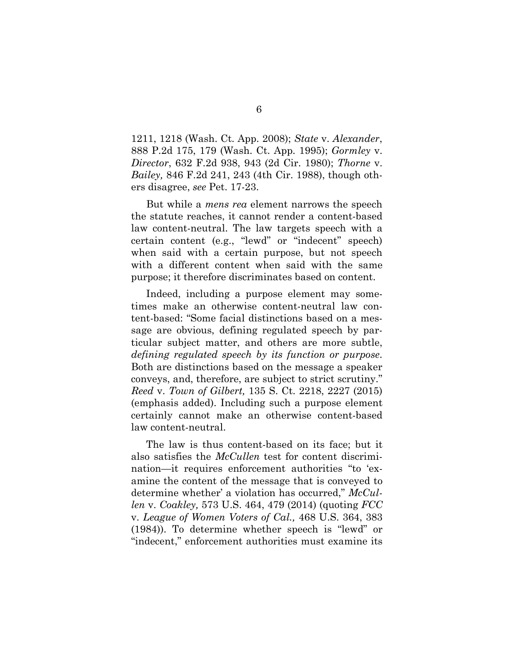1211, 1218 (Wash. Ct. App. 2008); *State* v. *Alexander*, 888 P.2d 175, 179 (Wash. Ct. App. 1995); *Gormley* v. *Director*, 632 F.2d 938, 943 (2d Cir. 1980); *Thorne* v. *Bailey,* 846 F.2d 241, 243 (4th Cir. 1988), though others disagree, *see* Pet. 17-23.

But while a *mens rea* element narrows the speech the statute reaches, it cannot render a content-based law content-neutral. The law targets speech with a certain content (e.g., "lewd" or "indecent" speech) when said with a certain purpose, but not speech with a different content when said with the same purpose; it therefore discriminates based on content.

Indeed, including a purpose element may sometimes make an otherwise content-neutral law content-based: "Some facial distinctions based on a message are obvious, defining regulated speech by particular subject matter, and others are more subtle, *defining regulated speech by its function or purpose*. Both are distinctions based on the message a speaker conveys, and, therefore, are subject to strict scrutiny." *Reed* v. *Town of Gilbert,* 135 S. Ct. 2218, 2227 (2015) (emphasis added). Including such a purpose element certainly cannot make an otherwise content-based law content-neutral.

The law is thus content-based on its face; but it also satisfies the *McCullen* test for content discrimination—it requires enforcement authorities "to 'examine the content of the message that is conveyed to determine whether' a violation has occurred," *McCullen* v. *Coakley,* 573 U.S. 464, 479 (2014) (quoting *FCC*  v. *League of Women Voters of Cal.,* 468 U.S. 364, 383 (1984)). To determine whether speech is "lewd" or "indecent," enforcement authorities must examine its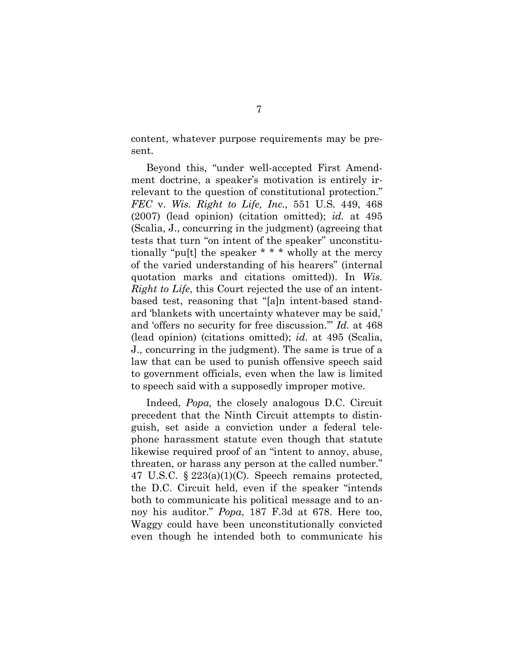content, whatever purpose requirements may be present.

Beyond this, "under well-accepted First Amendment doctrine, a speaker's motivation is entirely irrelevant to the question of constitutional protection." *FEC* v. *Wis. Right to Life, Inc.,* 551 U.S. 449, 468 (2007) (lead opinion) (citation omitted); *id.* at 495 (Scalia, J., concurring in the judgment) (agreeing that tests that turn "on intent of the speaker" unconstitutionally "pu[t] the speaker \* \* \* wholly at the mercy of the varied understanding of his hearers" (internal quotation marks and citations omitted)). In *Wis. Right to Life*, this Court rejected the use of an intentbased test, reasoning that "[a]n intent-based standard 'blankets with uncertainty whatever may be said,' and 'offers no security for free discussion.'" *Id.* at 468 (lead opinion) (citations omitted); *id.* at 495 (Scalia, J., concurring in the judgment). The same is true of a law that can be used to punish offensive speech said to government officials, even when the law is limited to speech said with a supposedly improper motive.

Indeed, *Popa,* the closely analogous D.C. Circuit precedent that the Ninth Circuit attempts to distinguish, set aside a conviction under a federal telephone harassment statute even though that statute likewise required proof of an "intent to annoy, abuse, threaten, or harass any person at the called number." 47 U.S.C. § 223(a)(1)(C). Speech remains protected, the D.C. Circuit held, even if the speaker "intends both to communicate his political message and to annoy his auditor." *Popa*, 187 F.3d at 678. Here too, Waggy could have been unconstitutionally convicted even though he intended both to communicate his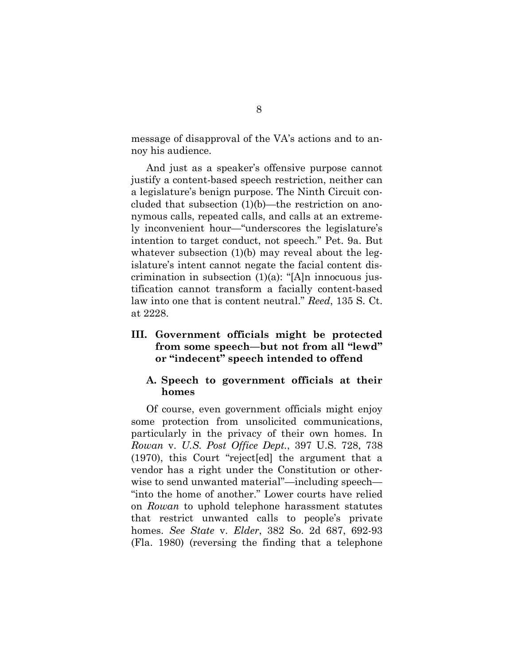message of disapproval of the VA's actions and to annoy his audience.

And just as a speaker's offensive purpose cannot justify a content-based speech restriction, neither can a legislature's benign purpose. The Ninth Circuit concluded that subsection (1)(b)—the restriction on anonymous calls, repeated calls, and calls at an extremely inconvenient hour—"underscores the legislature's intention to target conduct, not speech." Pet. 9a. But whatever subsection (1)(b) may reveal about the legislature's intent cannot negate the facial content discrimination in subsection  $(1)(a)$ : "[A]n innocuous justification cannot transform a facially content-based law into one that is content neutral." *Reed*, 135 S. Ct. at 2228.

### **III. Government officials might be protected from some speech—but not from all "lewd" or "indecent" speech intended to offend**

### **A. Speech to government officials at their homes**

Of course, even government officials might enjoy some protection from unsolicited communications, particularly in the privacy of their own homes. In *Rowan* v. *U.S. Post Office Dept.*, 397 U.S. 728, 738 (1970), this Court "reject[ed] the argument that a vendor has a right under the Constitution or otherwise to send unwanted material"—including speech— "into the home of another." Lower courts have relied on *Rowan* to uphold telephone harassment statutes that restrict unwanted calls to people's private homes. *See State* v. *Elder*, 382 So. 2d 687, 692-93 (Fla. 1980) (reversing the finding that a telephone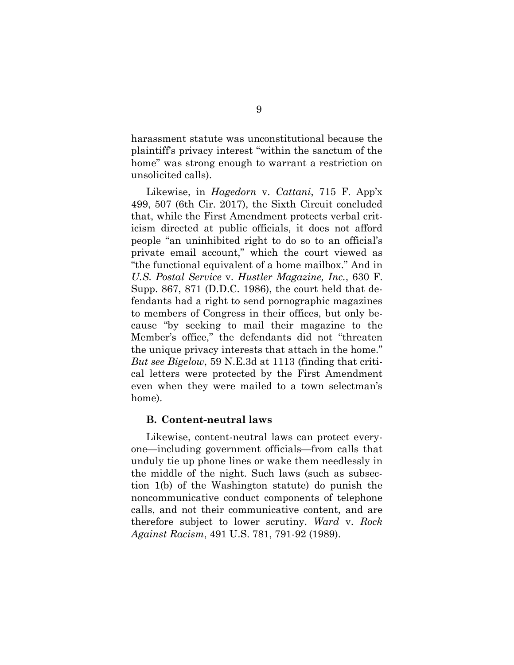harassment statute was unconstitutional because the plaintiff's privacy interest "within the sanctum of the home" was strong enough to warrant a restriction on unsolicited calls).

Likewise, in *Hagedorn* v. *Cattani*, 715 F. App'x 499, 507 (6th Cir. 2017), the Sixth Circuit concluded that, while the First Amendment protects verbal criticism directed at public officials, it does not afford people "an uninhibited right to do so to an official's private email account," which the court viewed as "the functional equivalent of a home mailbox." And in *U.S. Postal Service* v. *Hustler Magazine, Inc.*, 630 F. Supp. 867, 871 (D.D.C. 1986), the court held that defendants had a right to send pornographic magazines to members of Congress in their offices, but only because "by seeking to mail their magazine to the Member's office," the defendants did not "threaten the unique privacy interests that attach in the home." *But see Bigelow*, 59 N.E.3d at 1113 (finding that critical letters were protected by the First Amendment even when they were mailed to a town selectman's home).

#### **B. Content-neutral laws**

Likewise, content-neutral laws can protect everyone—including government officials—from calls that unduly tie up phone lines or wake them needlessly in the middle of the night. Such laws (such as subsection 1(b) of the Washington statute) do punish the noncommunicative conduct components of telephone calls, and not their communicative content, and are therefore subject to lower scrutiny. *Ward* v. *Rock Against Racism*, 491 U.S. 781, 791-92 (1989).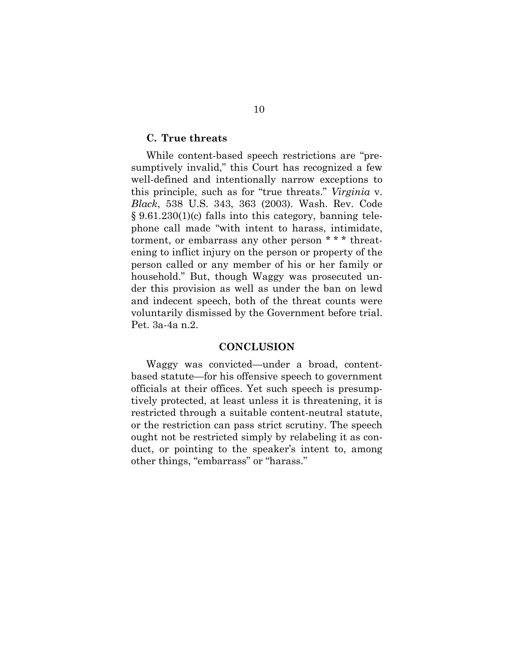### **C. True threats**

While content-based speech restrictions are "presumptively invalid," this Court has recognized a few well-defined and intentionally narrow exceptions to this principle, such as for "true threats." *Virginia* v. *Black*, 538 U.S. 343, 363 (2003). Wash. Rev. Code  $§ 9.61.230(1)(c)$  falls into this category, banning telephone call made "with intent to harass, intimidate, torment, or embarrass any other person \* \* \* threatening to inflict injury on the person or property of the person called or any member of his or her family or household." But, though Waggy was prosecuted under this provision as well as under the ban on lewd and indecent speech, both of the threat counts were voluntarily dismissed by the Government before trial. Pet. 3a-4a n.2.

#### **CONCLUSION**

Waggy was convicted—under a broad, contentbased statute—for his offensive speech to government officials at their offices. Yet such speech is presumptively protected, at least unless it is threatening, it is restricted through a suitable content-neutral statute, or the restriction can pass strict scrutiny. The speech ought not be restricted simply by relabeling it as conduct, or pointing to the speaker's intent to, among other things, "embarrass" or "harass."